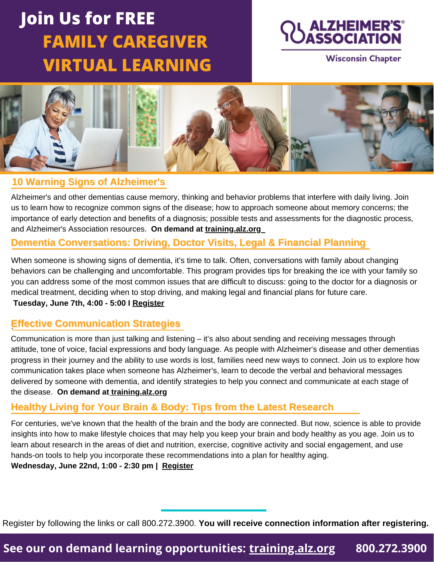# **Join Us for FREE FAMILY CAREGIVER VIRTUAL LEARNING**



**Wisconsin Chapter** 



### **10 Warning Signs of Alzheimer's**

Alzheimer's and other dementias cause memory, thinking and behavior problems that interfere with daily living. Join us to learn how to recognize common signs of the disease; how to approach someone about memory concerns; the importance of early detection and benefits of a diagnosis; possible tests and assessments for the diagnostic process, and Alzheimer's Association resources. **On demand at [training.alz.org](http://training.alz.org/)**

## **Dementia Conversations: Driving, Doctor Visits, Legal & Financial Planning**

When someone is showing signs of dementia, it's time to talk. Often, conversations with family about changing behaviors can be challenging and uncomfortable. This program provides tips for breaking the ice with your family so you can address some of the most common issues that are difficult to discuss: going to the doctor for a diagnosis or medical treatment, deciding when to stop driving, and making legal and financial plans for future care.

#### **Tuesday, June 7th, 4:00 - 5:00 I [Register](https://www.communityresourcefinder.org/ResourceView/Index?id=2563585&profileDefinitionId=93)**

## . **Effective Communication Strategies**

[Communication](https://www.communityresourcefinder.org/ResourceView/Index?id=2530508&profileDefinitionId=93) is more than just talking and listening – it's also about sending and receiving messages through attitude, tone of voice, facial expressions and body language. As people with Alzheimer's disease and other dementias progress in their journey and the ability to use words is lost, families need new ways to connect. Join us to explore how [communication](https://www.communityresourcefinder.org/ResourceView/Index?id=2530508&profileDefinitionId=93) takes place when someone has Alzheimer's, learn to decode the verbal and behavioral messages delivered by someone with dementia, and identify strategies to help you connect and communicate at each stage o[f](https://www.communityresourcefinder.org/ResourceView/Index?id=2530508&profileDefinitionId=93) the [disease.](https://www.communityresourcefinder.org/ResourceView/Index?id=2530508&profileDefinitionId=93) **[O](https://www.communityresourcefinder.org/ResourceView/Index?id=2530508&profileDefinitionId=93)n demand at [training.alz.org](http://training.alz.org/)**

### **Healthy Living for Your Brain & Body: Tips from the Latest Research**

For centuries, we've known that the health of the brain and the body are connected. But now, science is able to provide insights into how to make lifestyle choices that may help you keep your brain and body healthy as you age. Join us to learn about research in the areas of diet and nutrition, exercise, cognitive activity and social engagement, and use hands-on tools to help you incorporate these recommendations into a plan for healthy aging.

**Wednesday, June 22nd, 1:00 - 2:30 pm | [Register](https://www.communityresourcefinder.org/ResourceView/Index?id=2498752&profileDefinitionId=93)**

Register by following the links or call 800.272.3900. **You will receive connection information after registering.**